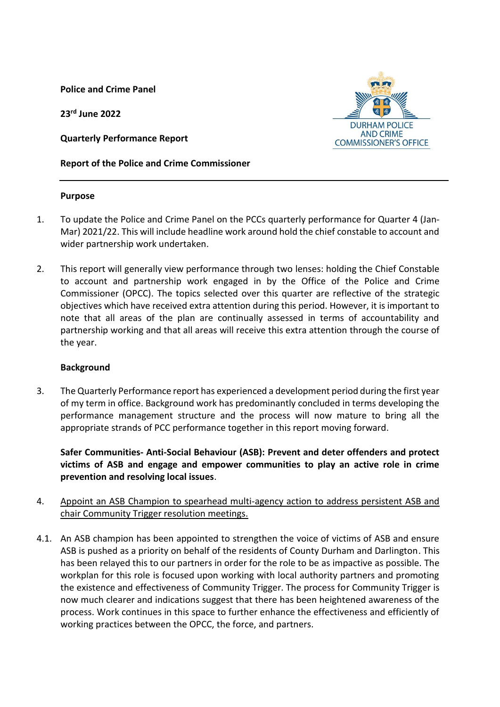**Police and Crime Panel**

**23 rd June 2022**

**Quarterly Performance Report**

**Report of the Police and Crime Commissioner**



- 1. To update the Police and Crime Panel on the PCCs quarterly performance for Quarter 4 (Jan-Mar) 2021/22. This will include headline work around hold the chief constable to account and wider partnership work undertaken.
- 2. This report will generally view performance through two lenses: holding the Chief Constable to account and partnership work engaged in by the Office of the Police and Crime Commissioner (OPCC). The topics selected over this quarter are reflective of the strategic objectives which have received extra attention during this period. However, it is important to note that all areas of the plan are continually assessed in terms of accountability and partnership working and that all areas will receive this extra attention through the course of the year.

#### **Background**

3. The Quarterly Performance report has experienced a development period during the first year of my term in office. Background work has predominantly concluded in terms developing the performance management structure and the process will now mature to bring all the appropriate strands of PCC performance together in this report moving forward.

**Safer Communities- Anti-Social Behaviour (ASB): Prevent and deter offenders and protect victims of ASB and engage and empower communities to play an active role in crime prevention and resolving local issues**.

- 4. Appoint an ASB Champion to spearhead multi-agency action to address persistent ASB and chair Community Trigger resolution meetings.
- 4.1. An ASB champion has been appointed to strengthen the voice of victims of ASB and ensure ASB is pushed as a priority on behalf of the residents of County Durham and Darlington. This has been relayed this to our partners in order for the role to be as impactive as possible. The workplan for this role is focused upon working with local authority partners and promoting the existence and effectiveness of Community Trigger. The process for Community Trigger is now much clearer and indications suggest that there has been heightened awareness of the process. Work continues in this space to further enhance the effectiveness and efficiently of working practices between the OPCC, the force, and partners.

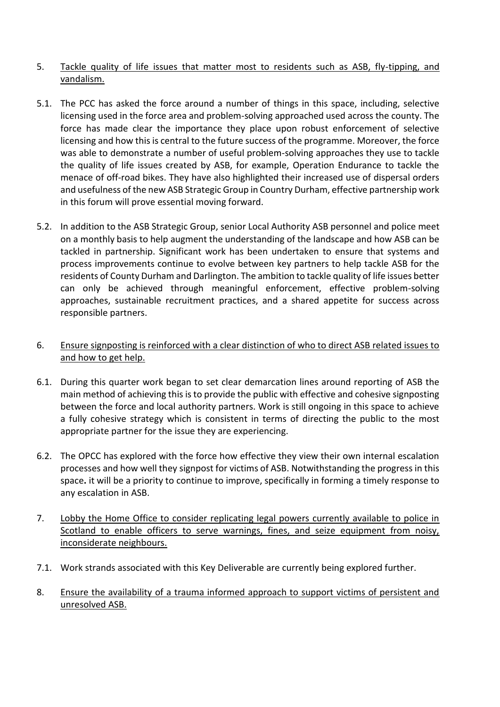## 5. Tackle quality of life issues that matter most to residents such as ASB, fly-tipping, and vandalism.

- 5.1. The PCC has asked the force around a number of things in this space, including, selective licensing used in the force area and problem-solving approached used across the county. The force has made clear the importance they place upon robust enforcement of selective licensing and how this is central to the future success of the programme. Moreover, the force was able to demonstrate a number of useful problem-solving approaches they use to tackle the quality of life issues created by ASB, for example, Operation Endurance to tackle the menace of off-road bikes. They have also highlighted their increased use of dispersal orders and usefulness of the new ASB Strategic Group in Country Durham, effective partnership work in this forum will prove essential moving forward.
- 5.2. In addition to the ASB Strategic Group, senior Local Authority ASB personnel and police meet on a monthly basis to help augment the understanding of the landscape and how ASB can be tackled in partnership. Significant work has been undertaken to ensure that systems and process improvements continue to evolve between key partners to help tackle ASB for the residents of County Durham and Darlington. The ambition to tackle quality of life issues better can only be achieved through meaningful enforcement, effective problem-solving approaches, sustainable recruitment practices, and a shared appetite for success across responsible partners.

## 6. Ensure signposting is reinforced with a clear distinction of who to direct ASB related issues to and how to get help.

- 6.1. During this quarter work began to set clear demarcation lines around reporting of ASB the main method of achieving this is to provide the public with effective and cohesive signposting between the force and local authority partners. Work is still ongoing in this space to achieve a fully cohesive strategy which is consistent in terms of directing the public to the most appropriate partner for the issue they are experiencing.
- 6.2. The OPCC has explored with the force how effective they view their own internal escalation processes and how well they signpost for victims of ASB. Notwithstanding the progress in this space**.** it will be a priority to continue to improve, specifically in forming a timely response to any escalation in ASB.
- 7. Lobby the Home Office to consider replicating legal powers currently available to police in Scotland to enable officers to serve warnings, fines, and seize equipment from noisy, inconsiderate neighbours.
- 7.1. Work strands associated with this Key Deliverable are currently being explored further.
- 8. Ensure the availability of a trauma informed approach to support victims of persistent and unresolved ASB.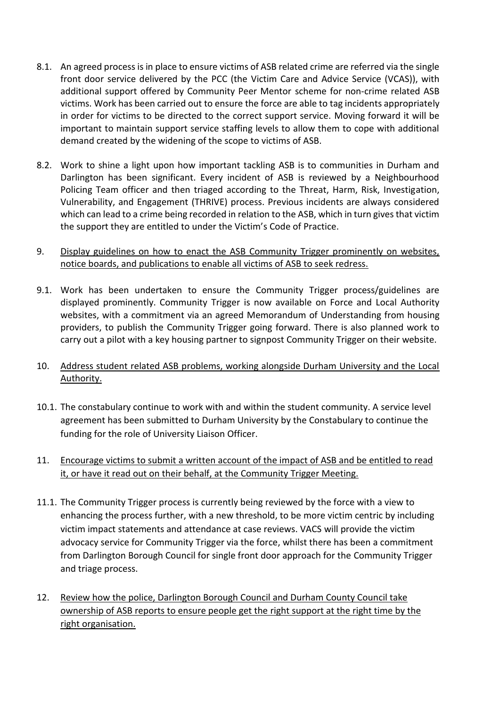- 8.1. An agreed process is in place to ensure victims of ASB related crime are referred via the single front door service delivered by the PCC (the Victim Care and Advice Service (VCAS)), with additional support offered by Community Peer Mentor scheme for non-crime related ASB victims. Work has been carried out to ensure the force are able to tag incidents appropriately in order for victims to be directed to the correct support service. Moving forward it will be important to maintain support service staffing levels to allow them to cope with additional demand created by the widening of the scope to victims of ASB.
- 8.2. Work to shine a light upon how important tackling ASB is to communities in Durham and Darlington has been significant. Every incident of ASB is reviewed by a Neighbourhood Policing Team officer and then triaged according to the Threat, Harm, Risk, Investigation, Vulnerability, and Engagement (THRIVE) process. Previous incidents are always considered which can lead to a crime being recorded in relation to the ASB, which in turn gives that victim the support they are entitled to under the Victim's Code of Practice.
- 9. Display guidelines on how to enact the ASB Community Trigger prominently on websites, notice boards, and publications to enable all victims of ASB to seek redress.
- 9.1. Work has been undertaken to ensure the Community Trigger process/guidelines are displayed prominently. Community Trigger is now available on Force and Local Authority websites, with a commitment via an agreed Memorandum of Understanding from housing providers, to publish the Community Trigger going forward. There is also planned work to carry out a pilot with a key housing partner to signpost Community Trigger on their website.
- 10. Address student related ASB problems, working alongside Durham University and the Local Authority.
- 10.1. The constabulary continue to work with and within the student community. A service level agreement has been submitted to Durham University by the Constabulary to continue the funding for the role of University Liaison Officer.
- 11. Encourage victims to submit a written account of the impact of ASB and be entitled to read it, or have it read out on their behalf, at the Community Trigger Meeting.
- 11.1. The Community Trigger process is currently being reviewed by the force with a view to enhancing the process further, with a new threshold, to be more victim centric by including victim impact statements and attendance at case reviews. VACS will provide the victim advocacy service for Community Trigger via the force, whilst there has been a commitment from Darlington Borough Council for single front door approach for the Community Trigger and triage process.
- 12. Review how the police, Darlington Borough Council and Durham County Council take ownership of ASB reports to ensure people get the right support at the right time by the right organisation.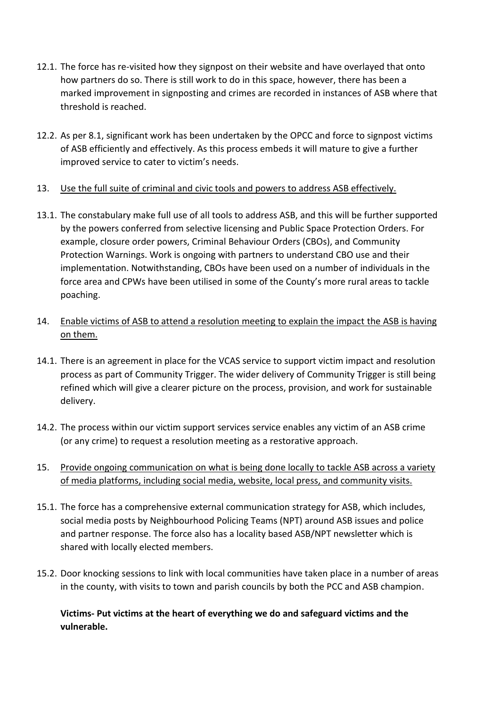- 12.1. The force has re-visited how they signpost on their website and have overlayed that onto how partners do so. There is still work to do in this space, however, there has been a marked improvement in signposting and crimes are recorded in instances of ASB where that threshold is reached.
- 12.2. As per 8.1, significant work has been undertaken by the OPCC and force to signpost victims of ASB efficiently and effectively. As this process embeds it will mature to give a further improved service to cater to victim's needs.
- 13. Use the full suite of criminal and civic tools and powers to address ASB effectively.
- 13.1. The constabulary make full use of all tools to address ASB, and this will be further supported by the powers conferred from selective licensing and Public Space Protection Orders. For example, closure order powers, Criminal Behaviour Orders (CBOs), and Community Protection Warnings. Work is ongoing with partners to understand CBO use and their implementation. Notwithstanding, CBOs have been used on a number of individuals in the force area and CPWs have been utilised in some of the County's more rural areas to tackle poaching.
- 14. Enable victims of ASB to attend a resolution meeting to explain the impact the ASB is having on them.
- 14.1. There is an agreement in place for the VCAS service to support victim impact and resolution process as part of Community Trigger. The wider delivery of Community Trigger is still being refined which will give a clearer picture on the process, provision, and work for sustainable delivery.
- 14.2. The process within our victim support services service enables any victim of an ASB crime (or any crime) to request a resolution meeting as a restorative approach.
- 15. Provide ongoing communication on what is being done locally to tackle ASB across a variety of media platforms, including social media, website, local press, and community visits.
- 15.1. The force has a comprehensive external communication strategy for ASB, which includes, social media posts by Neighbourhood Policing Teams (NPT) around ASB issues and police and partner response. The force also has a locality based ASB/NPT newsletter which is shared with locally elected members.
- 15.2. Door knocking sessions to link with local communities have taken place in a number of areas in the county, with visits to town and parish councils by both the PCC and ASB champion.

**Victims- Put victims at the heart of everything we do and safeguard victims and the vulnerable.**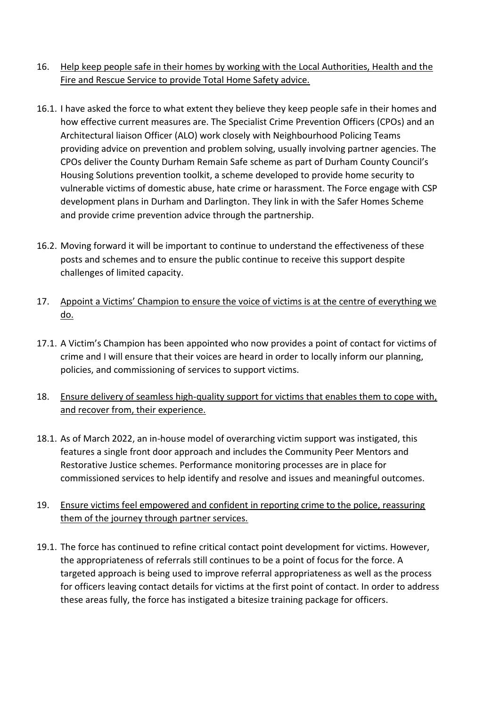# 16. Help keep people safe in their homes by working with the Local Authorities, Health and the Fire and Rescue Service to provide Total Home Safety advice.

- 16.1. I have asked the force to what extent they believe they keep people safe in their homes and how effective current measures are. The Specialist Crime Prevention Officers (CPOs) and an Architectural liaison Officer (ALO) work closely with Neighbourhood Policing Teams providing advice on prevention and problem solving, usually involving partner agencies. The CPOs deliver the County Durham Remain Safe scheme as part of Durham County Council's Housing Solutions prevention toolkit, a scheme developed to provide home security to vulnerable victims of domestic abuse, hate crime or harassment. The Force engage with CSP development plans in Durham and Darlington. They link in with the Safer Homes Scheme and provide crime prevention advice through the partnership.
- 16.2. Moving forward it will be important to continue to understand the effectiveness of these posts and schemes and to ensure the public continue to receive this support despite challenges of limited capacity.
- 17. Appoint a Victims' Champion to ensure the voice of victims is at the centre of everything we do.
- 17.1. A Victim's Champion has been appointed who now provides a point of contact for victims of crime and I will ensure that their voices are heard in order to locally inform our planning, policies, and commissioning of services to support victims.
- 18. Ensure delivery of seamless high-quality support for victims that enables them to cope with, and recover from, their experience.
- 18.1. As of March 2022, an in-house model of overarching victim support was instigated, this features a single front door approach and includes the Community Peer Mentors and Restorative Justice schemes. Performance monitoring processes are in place for commissioned services to help identify and resolve and issues and meaningful outcomes.
- 19. Ensure victims feel empowered and confident in reporting crime to the police, reassuring them of the journey through partner services.
- 19.1. The force has continued to refine critical contact point development for victims. However, the appropriateness of referrals still continues to be a point of focus for the force. A targeted approach is being used to improve referral appropriateness as well as the process for officers leaving contact details for victims at the first point of contact. In order to address these areas fully, the force has instigated a bitesize training package for officers.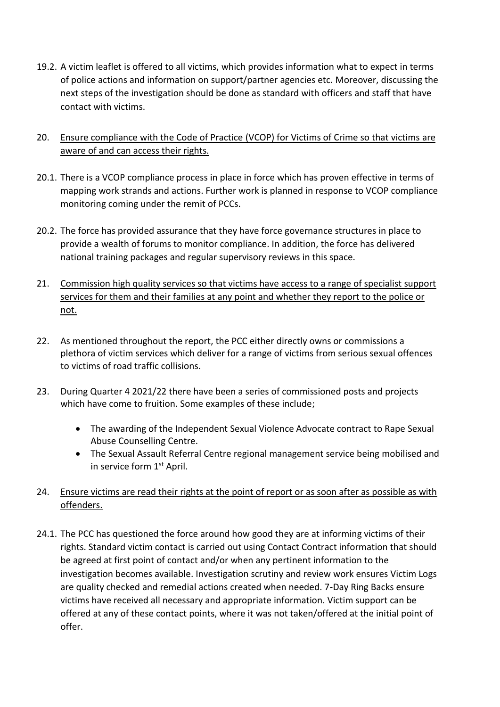- 19.2. A victim leaflet is offered to all victims, which provides information what to expect in terms of police actions and information on support/partner agencies etc. Moreover, discussing the next steps of the investigation should be done as standard with officers and staff that have contact with victims.
- 20. Ensure compliance with the Code of Practice (VCOP) for Victims of Crime so that victims are aware of and can access their rights.
- 20.1. There is a VCOP compliance process in place in force which has proven effective in terms of mapping work strands and actions. Further work is planned in response to VCOP compliance monitoring coming under the remit of PCCs.
- 20.2. The force has provided assurance that they have force governance structures in place to provide a wealth of forums to monitor compliance. In addition, the force has delivered national training packages and regular supervisory reviews in this space.
- 21. Commission high quality services so that victims have access to a range of specialist support services for them and their families at any point and whether they report to the police or not.
- 22. As mentioned throughout the report, the PCC either directly owns or commissions a plethora of victim services which deliver for a range of victims from serious sexual offences to victims of road traffic collisions.
- 23. During Quarter 4 2021/22 there have been a series of commissioned posts and projects which have come to fruition. Some examples of these include;
	- The awarding of the Independent Sexual Violence Advocate contract to Rape Sexual Abuse Counselling Centre.
	- The Sexual Assault Referral Centre regional management service being mobilised and in service form 1<sup>st</sup> April.
- 24. Ensure victims are read their rights at the point of report or as soon after as possible as with offenders.
- 24.1. The PCC has questioned the force around how good they are at informing victims of their rights. Standard victim contact is carried out using Contact Contract information that should be agreed at first point of contact and/or when any pertinent information to the investigation becomes available. Investigation scrutiny and review work ensures Victim Logs are quality checked and remedial actions created when needed. 7-Day Ring Backs ensure victims have received all necessary and appropriate information. Victim support can be offered at any of these contact points, where it was not taken/offered at the initial point of offer.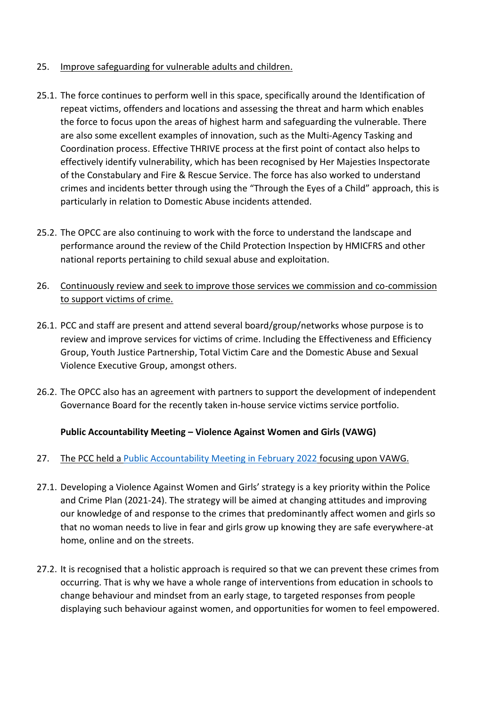## 25. Improve safeguarding for vulnerable adults and children.

- 25.1. The force continues to perform well in this space, specifically around the Identification of repeat victims, offenders and locations and assessing the threat and harm which enables the force to focus upon the areas of highest harm and safeguarding the vulnerable. There are also some excellent examples of innovation, such as the Multi-Agency Tasking and Coordination process. Effective THRIVE process at the first point of contact also helps to effectively identify vulnerability, which has been recognised by Her Majesties Inspectorate of the Constabulary and Fire & Rescue Service. The force has also worked to understand crimes and incidents better through using the "Through the Eyes of a Child" approach, this is particularly in relation to Domestic Abuse incidents attended.
- 25.2. The OPCC are also continuing to work with the force to understand the landscape and performance around the review of the Child Protection Inspection by HMICFRS and other national reports pertaining to child sexual abuse and exploitation.
- 26. Continuously review and seek to improve those services we commission and co-commission to support victims of crime.
- 26.1. PCC and staff are present and attend several board/group/networks whose purpose is to review and improve services for victims of crime. Including the Effectiveness and Efficiency Group, Youth Justice Partnership, Total Victim Care and the Domestic Abuse and Sexual Violence Executive Group, amongst others.
- 26.2. The OPCC also has an agreement with partners to support the development of independent Governance Board for the recently taken in-house service victims service portfolio.

# **Public Accountability Meeting – Violence Against Women and Girls (VAWG)**

# 27. The PCC held a [Public Accountability Meeting in February 2022](file:///C:/Users/8575/AppData/Local/Microsoft/External%20Boards/Public%20Accountability%20Meeting/2022/2022-02-17%20VAWG/VAWG%20Public%20Presentation%20wip1%20updated%20(002).pptx) focusing upon VAWG.

- 27.1. Developing a Violence Against Women and Girls' strategy is a key priority within the Police and Crime Plan (2021-24). The strategy will be aimed at changing attitudes and improving our knowledge of and response to the crimes that predominantly affect women and girls so that no woman needs to live in fear and girls grow up knowing they are safe everywhere-at home, online and on the streets.
- 27.2. It is recognised that a holistic approach is required so that we can prevent these crimes from occurring. That is why we have a whole range of interventions from education in schools to change behaviour and mindset from an early stage, to targeted responses from people displaying such behaviour against women, and opportunities for women to feel empowered.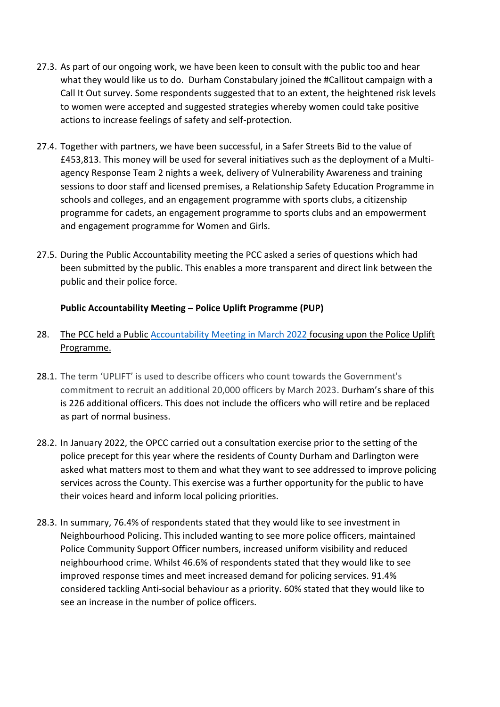- 27.3. As part of our ongoing work, we have been keen to consult with the public too and hear what they would like us to do. Durham Constabulary joined the #Callitout campaign with a Call It Out survey. Some respondents suggested that to an extent, the heightened risk levels to women were accepted and suggested strategies whereby women could take positive actions to increase feelings of safety and self-protection.
- 27.4. Together with partners, we have been successful, in a Safer Streets Bid to the value of £453,813. This money will be used for several initiatives such as the deployment of a Multiagency Response Team 2 nights a week, delivery of Vulnerability Awareness and training sessions to door staff and licensed premises, a Relationship Safety Education Programme in schools and colleges, and an engagement programme with sports clubs, a citizenship programme for cadets, an engagement programme to sports clubs and an empowerment and engagement programme for Women and Girls.
- 27.5. During the Public Accountability meeting the PCC asked a series of questions which had been submitted by the public. This enables a more transparent and direct link between the public and their police force.

## **Public Accountability Meeting – Police Uplift Programme (PUP)**

# 28. The PCC held a Public [Accountability Meeting in March 2022](file:///C:/Users/8575/AppData/Local/Microsoft/External%20Boards/Public%20Accountability%20Meeting/2022/2022-03-17%20Police%20Uplift%20Programme/Uplift%20Programme%20presentation.pptx) focusing upon the Police Uplift Programme.

- 28.1. The term 'UPLIFT' is used to describe officers who count towards the Government's commitment to recruit an additional 20,000 officers by March 2023. Durham's share of this is 226 additional officers. This does not include the officers who will retire and be replaced as part of normal business.
- 28.2. In January 2022, the OPCC carried out a consultation exercise prior to the setting of the police precept for this year where the residents of County Durham and Darlington were asked what matters most to them and what they want to see addressed to improve policing services across the County. This exercise was a further opportunity for the public to have their voices heard and inform local policing priorities.
- 28.3. In summary, 76.4% of respondents stated that they would like to see investment in Neighbourhood Policing. This included wanting to see more police officers, maintained Police Community Support Officer numbers, increased uniform visibility and reduced neighbourhood crime. Whilst 46.6% of respondents stated that they would like to see improved response times and meet increased demand for policing services. 91.4% considered tackling Anti-social behaviour as a priority. 60% stated that they would like to see an increase in the number of police officers.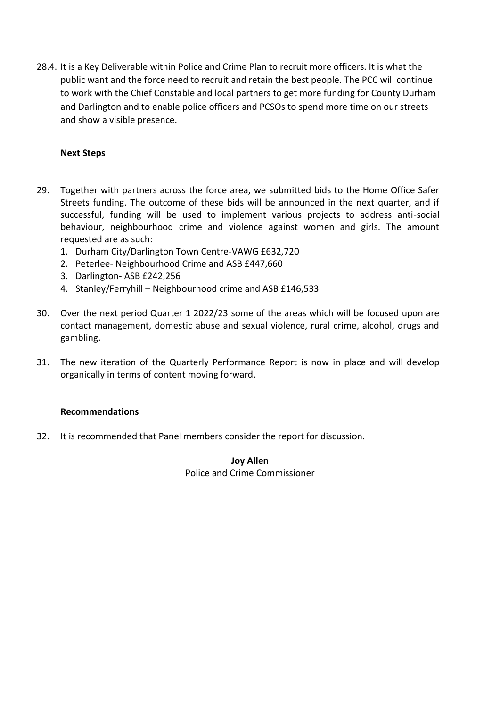28.4. It is a Key Deliverable within Police and Crime Plan to recruit more officers. It is what the public want and the force need to recruit and retain the best people. The PCC will continue to work with the Chief Constable and local partners to get more funding for County Durham and Darlington and to enable police officers and PCSOs to spend more time on our streets and show a visible presence.

### **Next Steps**

- 29. Together with partners across the force area, we submitted bids to the Home Office Safer Streets funding. The outcome of these bids will be announced in the next quarter, and if successful, funding will be used to implement various projects to address anti-social behaviour, neighbourhood crime and violence against women and girls. The amount requested are as such:
	- 1. Durham City/Darlington Town Centre-VAWG £632,720
	- 2. Peterlee- Neighbourhood Crime and ASB £447,660
	- 3. Darlington- ASB £242,256
	- 4. Stanley/Ferryhill Neighbourhood crime and ASB £146,533
- 30. Over the next period Quarter 1 2022/23 some of the areas which will be focused upon are contact management, domestic abuse and sexual violence, rural crime, alcohol, drugs and gambling.
- 31. The new iteration of the Quarterly Performance Report is now in place and will develop organically in terms of content moving forward.

#### **Recommendations**

32. It is recommended that Panel members consider the report for discussion.

**Joy Allen** Police and Crime Commissioner